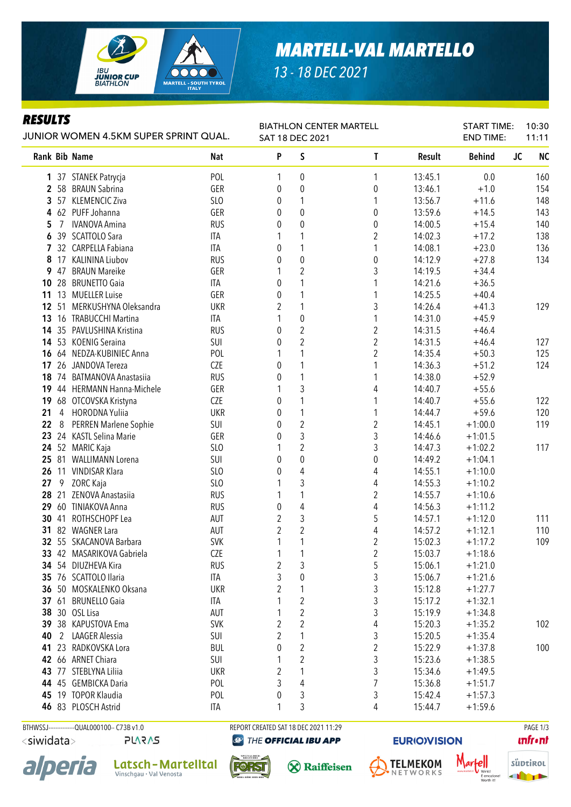

## *13 - 18 DEC 2021*

## *RESULTS*

| KESULIS<br>JUNIOR WOMEN 4.5KM SUPER SPRINT QUAL. |    |                                       | <b>BIATHLON CENTER MARTELL</b><br>SAT 18 DEC 2021 |                  |                  |                         | <b>START TIME:</b><br><b>END TIME:</b> | 10:30<br>11:11 |                        |
|--------------------------------------------------|----|---------------------------------------|---------------------------------------------------|------------------|------------------|-------------------------|----------------------------------------|----------------|------------------------|
|                                                  |    | Rank Bib Name                         | <b>Nat</b>                                        | P                | S                | T                       | Result                                 | <b>Behind</b>  | <b>NC</b><br><b>JC</b> |
|                                                  |    | 1 37 STANEK Patrycja                  | POL                                               | 1                | 0                | 1                       | 13:45.1                                | 0.0            | 160                    |
|                                                  |    | 2 58 BRAUN Sabrina                    | GER                                               | 0                | $\mathbf 0$      | $\boldsymbol{0}$        | 13:46.1                                | $+1.0$         | 154                    |
| 3                                                |    | 57 KLEMENCIC Ziva                     | SLO                                               | 0                | 1                | 1                       | 13:56.7                                | $+11.6$        | 148                    |
| 4                                                |    | 62 PUFF Johanna                       | GER                                               | 0                | $\mathbf{0}$     | $\boldsymbol{0}$        | 13:59.6                                | $+14.5$        | 143                    |
| 5                                                | 7  | <b>IVANOVA Amina</b>                  | <b>RUS</b>                                        | 0                | $\mathbf 0$      | 0                       | 14:00.5                                | $+15.4$        | 140                    |
| 6                                                |    | 39 SCATTOLO Sara                      | ITA                                               | 1                | 1                | $\boldsymbol{2}$        | 14:02.3                                | $+17.2$        | 138                    |
|                                                  |    | 7 32 CARPELLA Fabiana                 | <b>ITA</b>                                        | 0                | 1                | 1                       | 14:08.1                                | $+23.0$        | 136                    |
| 8                                                |    | 17 KALININA Liubov                    | <b>RUS</b>                                        | 0                | $\pmb{0}$        | 0                       | 14:12.9                                | $+27.8$        | 134                    |
| 9                                                | 47 | <b>BRAUN Mareike</b>                  | GER                                               | 1                | $\sqrt{2}$       | 3                       | 14:19.5                                | $+34.4$        |                        |
| 10                                               | 28 | <b>BRUNETTO Gaia</b>                  | <b>ITA</b>                                        | 0                | 1                | 1                       | 14:21.6                                | $+36.5$        |                        |
| 11                                               |    | 13 MUELLER Luise                      | GER                                               | $\boldsymbol{0}$ | 1                | 1                       | 14:25.5                                | $+40.4$        |                        |
| 12                                               | 51 | MERKUSHYNA Oleksandra                 | <b>UKR</b>                                        | 2                | 1                | 3                       | 14:26.4                                | $+41.3$        | 129                    |
| 13                                               |    | 16 TRABUCCHI Martina                  | <b>ITA</b>                                        |                  | $\pmb{0}$        | 1                       | 14:31.0                                | $+45.9$        |                        |
| 14                                               |    | 35 PAVLUSHINA Kristina                | <b>RUS</b>                                        | $\boldsymbol{0}$ | $\sqrt{2}$       | $\boldsymbol{2}$        | 14:31.5                                | $+46.4$        |                        |
| 14                                               |    | 53 KOENIG Seraina                     | SUI                                               | $\boldsymbol{0}$ | $\sqrt{2}$       | $\overline{c}$          | 14:31.5                                | $+46.4$        | 127                    |
| 16                                               |    | 64 NEDZA-KUBINIEC Anna                | POL                                               | 1                | 1                | $\overline{2}$          | 14:35.4                                | $+50.3$        | 125                    |
| 17                                               |    | 26 JANDOVA Tereza                     | CZE                                               | 0                | 1                | 1                       | 14:36.3                                | $+51.2$        | 124                    |
| 18                                               | 74 | <b>BATMANOVA Anastasiia</b>           | <b>RUS</b>                                        | 0                | $\mathbf{1}$     | 1                       | 14:38.0                                | $+52.9$        |                        |
|                                                  |    | 19 44 HERMANN Hanna-Michele           | GER                                               | 1                | $\mathfrak{Z}$   | 4                       | 14:40.7                                | $+55.6$        |                        |
| 19                                               |    | 68 OTCOVSKA Kristyna                  | CZE                                               | 0                | $\mathbf{1}$     | 1                       | 14:40.7                                | $+55.6$        | 122                    |
| 21                                               | 4  | <b>HORODNA Yuliia</b>                 | <b>UKR</b>                                        | 0                | $\mathbf{1}$     | 1                       | 14:44.7                                | $+59.6$        | 120                    |
| 22                                               | 8  | PERREN Marlene Sophie                 | SUI                                               | 0                | $\sqrt{2}$       | $\overline{2}$          | 14:45.1                                | $+1:00.0$      | 119                    |
| 23                                               |    | 24 KASTL Selina Marie                 | GER                                               | $\theta$         | 3                | 3                       | 14:46.6                                | $+1:01.5$      |                        |
| 24                                               | 52 | MARIC Kaja                            | SLO                                               | 1                | $\overline{2}$   | 3                       | 14:47.3                                | $+1:02.2$      | 117                    |
| 25                                               |    | 81 WALLIMANN Lorena                   | SUI                                               | $\theta$         | $\pmb{0}$        | $\boldsymbol{0}$        | 14:49.2                                | $+1:04.1$      |                        |
| 26                                               |    | 11 VINDISAR Klara                     | SLO                                               | 0                | $\overline{4}$   | 4                       | 14:55.1                                | $+1:10.0$      |                        |
| 27                                               | 9  | ZORC Kaja                             | SL <sub>0</sub>                                   | 1                | 3                | 4                       | 14:55.3                                | $+1:10.2$      |                        |
| 28                                               | 21 | ZENOVA Anastasiia                     | <b>RUS</b>                                        | 1                | 1                | $\overline{2}$          | 14:55.7                                | $+1:10.6$      |                        |
| 29                                               |    | 60 TINIAKOVA Anna                     | <b>RUS</b>                                        | $\boldsymbol{0}$ | $\overline{4}$   | 4                       | 14:56.3                                | $+1:11.2$      |                        |
| 30                                               | 41 | ROTHSCHOPF Lea                        | <b>AUT</b>                                        | $\overline{2}$   | 3                | 5                       | 14:57.1                                | $+1:12.0$      | 111                    |
| 31                                               |    | 82 WAGNER Lara                        | AUT                                               | $\overline{2}$   | $\sqrt{2}$       | 4                       | 14:57.2                                | $+1:12.1$      | 110                    |
|                                                  |    | 32 55 SKACANOVA Barbara               | <b>SVK</b>                                        | 1                | 1                | $\overline{2}$          | 15:02.3                                | $+1:17.2$      | 109                    |
|                                                  |    | 33 42 MASARIKOVA Gabriela             | <b>CZE</b>                                        | $\mathbf{1}$     | 1                | 2                       | 15:03.7                                | $+1:18.6$      |                        |
|                                                  |    | 34 54 DIUZHEVA Kira                   | <b>RUS</b>                                        | $\overline{c}$   | 3                | 5                       | 15:06.1                                | $+1:21.0$      |                        |
|                                                  |    | 35 76 SCATTOLO Ilaria                 | ITA                                               | 3                | $\boldsymbol{0}$ | 3                       | 15:06.7                                | $+1:21.6$      |                        |
|                                                  |    | 36 50 MOSKALENKO Oksana               | <b>UKR</b>                                        | 2                | 1                | 3                       | 15:12.8                                | $+1:27.7$      |                        |
|                                                  |    | 37 61 BRUNELLO Gaia                   | ITA                                               |                  | $\sqrt{2}$       | 3                       | 15:17.2                                | $+1:32.1$      |                        |
|                                                  |    | 38 30 OSL Lisa                        | AUT                                               |                  | $\sqrt{2}$       | 3                       | 15:19.9                                | $+1:34.8$      |                        |
|                                                  |    | 39 38 KAPUSTOVA Ema                   | <b>SVK</b>                                        | 2                | 2                | 4                       | 15:20.3                                | $+1:35.2$      | 102                    |
|                                                  |    |                                       |                                                   |                  |                  |                         |                                        |                |                        |
| 40                                               |    | 2 LAAGER Alessia<br>23 RADKOVSKA Lora | SUI                                               | 2                |                  | 3                       | 15:20.5                                | $+1:35.4$      |                        |
| 41                                               |    |                                       | <b>BUL</b>                                        | 0                | $\sqrt{2}$       | $\overline{\mathbf{c}}$ | 15:22.9                                | $+1:37.8$      | 100                    |
|                                                  |    | 42 66 ARNET Chiara                    | SUI                                               |                  | $\overline{2}$   | 3                       | 15:23.6                                | $+1:38.5$      |                        |
|                                                  |    | 43 77 STEBLYNA Liliia                 | <b>UKR</b>                                        | 2                | 1                | 3                       | 15:34.6                                | $+1:49.5$      |                        |
|                                                  |    | 44 45 GEMBICKA Daria                  | POL                                               | 3                | 4                | 7                       | 15:36.8                                | $+1:51.7$      |                        |
|                                                  |    | 45 19 TOPOR Klaudia                   | POL                                               | 0                | 3                | 3                       | 15:42.4                                | $+1:57.3$      |                        |
|                                                  |    | 46 83 PLOSCH Astrid                   | ITA                                               |                  | 3                | 4                       | 15:44.7                                | $+1:59.6$      |                        |

BTHWSSJ--------------QUAL000100-- C73B v1.0 REPORT CREATED SAT 18 DEC 2021 11:29 REPORT CREATED SAT 18 DEC 2021 11:29 <siwidata>

**PLARAS** 







THE OFFICIAL IBU APP



**EURIO)VISION** 

Mar



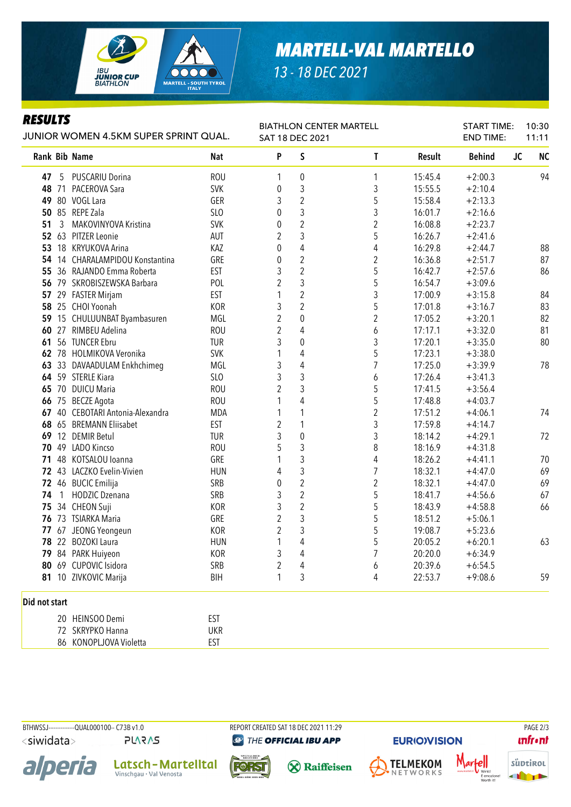

## *MARTELL-VAL MARTELLO*

*13 - 18 DEC 2021*

## *RESULTS*

| Resulis<br>JUNIOR WOMEN 4.5KM SUPER SPRINT QUAL. |    |                              | <b>BIATHLON CENTER MARTELL</b><br>SAT 18 DEC 2021 |                |                         |                | <b>START TIME:</b><br>10:30<br><b>END TIME:</b><br>11:11 |               |                        |
|--------------------------------------------------|----|------------------------------|---------------------------------------------------|----------------|-------------------------|----------------|----------------------------------------------------------|---------------|------------------------|
|                                                  |    | Rank Bib Name                | Nat                                               | P              | S                       | T              | Result                                                   | <b>Behind</b> | <b>JC</b><br><b>NC</b> |
| 47                                               | 5  | PUSCARIU Dorina              | <b>ROU</b>                                        | 1              | 0                       | 1              | 15:45.4                                                  | $+2:00.3$     | 94                     |
| 48                                               | 71 | PACEROVA Sara                | <b>SVK</b>                                        | 0              | 3                       | 3              | 15:55.5                                                  | $+2:10.4$     |                        |
| 49                                               |    | 80 VOGL Lara                 | GER                                               | 3              | $\overline{c}$          | 5              | 15:58.4                                                  | $+2:13.3$     |                        |
| 50                                               |    | 85 REPE Zala                 | SLO                                               | 0              | 3                       | 3              | 16:01.7                                                  | $+2:16.6$     |                        |
| 51                                               | 3  | MAKOVINYOVA Kristina         | <b>SVK</b>                                        | 0              | $\overline{2}$          | $\overline{2}$ | 16:08.8                                                  | $+2:23.7$     |                        |
|                                                  |    | 52 63 PITZER Leonie          | AUT                                               | $\overline{2}$ | 3                       | 5              | 16:26.7                                                  | $+2:41.6$     |                        |
| 53                                               |    | 18 KRYUKOVA Arina            | KAZ                                               | 0              | 4                       | 4              | 16:29.8                                                  | $+2:44.7$     | 88                     |
| 54                                               |    | 14 CHARALAMPIDOU Konstantina | GRE                                               | 0              | $\boldsymbol{2}$        | $\overline{2}$ | 16:36.8                                                  | $+2:51.7$     | 87                     |
| 55                                               |    | 36 RAJANDO Emma Roberta      | <b>EST</b>                                        | 3              | $\overline{c}$          | 5              | 16:42.7                                                  | $+2:57.6$     | 86                     |
| 56                                               |    | 79 SKROBISZEWSKA Barbara     | POL                                               | $\overline{2}$ | 3                       | 5              | 16:54.7                                                  | $+3:09.6$     |                        |
| 57                                               |    | 29 FASTER Mirjam             | <b>EST</b>                                        | 1              | $\overline{c}$          | 3              | 17:00.9                                                  | $+3:15.8$     | 84                     |
| 58                                               |    | 25 CHOI Yoonah               | <b>KOR</b>                                        | 3              | $\overline{c}$          | 5              | 17:01.8                                                  | $+3:16.7$     | 83                     |
| 59                                               |    | 15 CHULUUNBAT Byambasuren    | MGL                                               | $\overline{2}$ | $\boldsymbol{0}$        | 2              | 17:05.2                                                  | $+3:20.1$     | 82                     |
| 60                                               |    | 27 RIMBEU Adelina            | <b>ROU</b>                                        | $\overline{c}$ | 4                       | 6              | 17:17.1                                                  | $+3:32.0$     | 81                     |
| 61                                               |    | 56 TUNCER Ebru               | <b>TUR</b>                                        | 3              | $\boldsymbol{0}$        | 3              | 17:20.1                                                  | $+3:35.0$     | 80                     |
| 62                                               |    | 78 HOLMIKOVA Veronika        | <b>SVK</b>                                        | 1              | 4                       | 5              | 17:23.1                                                  | $+3:38.0$     |                        |
| 63                                               |    | 33 DAVAADULAM Enkhchimeg     | MGL                                               | 3              | 4                       | 7              | 17:25.0                                                  | $+3:39.9$     | 78                     |
|                                                  |    | 64 59 STERLE Kiara           | <b>SLO</b>                                        | 3              | 3                       | 6              | 17:26.4                                                  | $+3:41.3$     |                        |
| 65                                               |    | 70 DUICU Maria               | <b>ROU</b>                                        | $\overline{2}$ | 3                       | 5              | 17:41.5                                                  | $+3:56.4$     |                        |
| 66                                               | 75 | <b>BECZE Agota</b>           | <b>ROU</b>                                        | 1              | 4                       | 5              | 17:48.8                                                  | $+4:03.7$     |                        |
| 67                                               | 40 | CEBOTARI Antonia-Alexandra   | <b>MDA</b>                                        | 1              | 1                       | $\overline{2}$ | 17:51.2                                                  | $+4:06.1$     | 74                     |
| 68                                               |    | 65 BREMANN Eliisabet         | <b>EST</b>                                        | $\overline{2}$ | 1                       | 3              | 17:59.8                                                  | $+4:14.7$     |                        |
| 69                                               |    | 12 DEMIR Betul               | <b>TUR</b>                                        | 3              | $\boldsymbol{0}$        | 3              | 18:14.2                                                  | $+4:29.1$     | 72                     |
| 70                                               | 49 | LADO Kincso                  | <b>ROU</b>                                        | 5              | 3                       | 8              | 18:16.9                                                  | $+4:31.8$     |                        |
| 71                                               |    | 48 KOTSALOU loanna           | GRE                                               | 1              | 3                       | 4              | 18:26.2                                                  | $+4:41.1$     | 70                     |
|                                                  |    | 72 43 LACZKO Evelin-Vivien   | <b>HUN</b>                                        | 4              | 3                       | $\overline{7}$ | 18:32.1                                                  | $+4:47.0$     | 69                     |
|                                                  |    | 72 46 BUCIC Emilija          | SRB                                               | 0              | $\overline{2}$          | $\overline{2}$ | 18:32.1                                                  | $+4:47.0$     | 69                     |
| 74                                               | 1  | HODZIC Dzenana               | SRB                                               | 3              | $\boldsymbol{2}$        | 5              | 18:41.7                                                  | $+4:56.6$     | 67                     |
| 75                                               |    | 34 CHEON Suji                | <b>KOR</b>                                        | 3              | $\overline{\mathbf{c}}$ | 5              | 18:43.9                                                  | $+4:58.8$     | 66                     |
| 76                                               |    | 73 TSIARKA Maria             | GRE                                               | $\overline{2}$ | 3                       | 5              | 18:51.2                                                  | $+5:06.1$     |                        |
| 77                                               |    | 67 JEONG Yeongeun            | <b>KOR</b>                                        | $\overline{2}$ | 3                       | 5              | 19:08.7                                                  | $+5:23.6$     |                        |
| 78                                               |    | 22 BOZOKI Laura              | <b>HUN</b>                                        | 1              | 4                       | 5              | 20:05.2                                                  | $+6:20.1$     | 63                     |
|                                                  |    | 79 84 PARK Huiyeon           | KOR                                               | 3              | 4                       | 7              | 20:20.0                                                  | $+6:34.9$     |                        |
| 80                                               |    | 69 CUPOVIC Isidora           | SRB                                               | $\overline{2}$ | 4                       | 6              | 20:39.6                                                  | $+6:54.5$     |                        |
|                                                  |    | 81 10 ZIVKOVIC Marija        | BIH                                               | 1              | 3                       | 4              | 22:53.7                                                  | $+9:08.6$     | 59                     |
| Did not start                                    |    |                              |                                                   |                |                         |                |                                                          |               |                        |
|                                                  |    | 20 HEINSOO Demi              | <b>EST</b>                                        |                |                         |                |                                                          |               |                        |
|                                                  |    | 72 SKRYPKO Hanna             | <b>UKR</b>                                        |                |                         |                |                                                          |               |                        |

BTHWSSJ--------------QUAL000100-- C73B v1.0 REPORT CREATED SAT 18 DEC 2021 11:29 REPORT CREATED SAT 18 DEC 2021 11:29 <siwidata>

alperia

**PLARAS** 

Latsch-Martelltal

86 KONOPLJOVA Violetta **EST** 

**@** THE OFFICIAL IBU APP







**EURIO)VISION** 

Mar